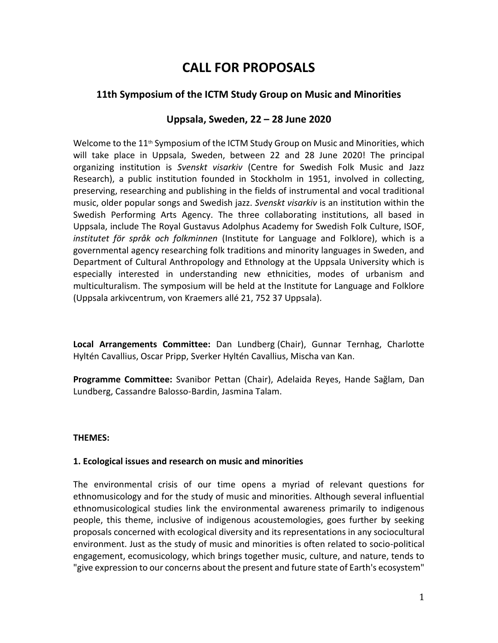# **CALL FOR PROPOSALS**

# **11th Symposium of the ICTM Study Group on Music and Minorities**

## **Uppsala, Sweden, 22 – 28 June 2020**

Welcome to the  $11<sup>th</sup>$  Symposium of the ICTM Study Group on Music and Minorities, which will take place in Uppsala, Sweden, between 22 and 28 June 2020! The principal organizing institution is *Svenskt visarkiv* (Centre for Swedish Folk Music and Jazz Research), a public institution founded in Stockholm in 1951, involved in collecting, preserving, researching and publishing in the fields of instrumental and vocal traditional music, older popular songs and Swedish jazz. *Svenskt visarkiv* is an institution within the Swedish Performing Arts Agency. The three collaborating institutions, all based in Uppsala, include The Royal Gustavus Adolphus Academy for Swedish Folk Culture, ISOF, *institutet för språk och folkminnen* (Institute for Language and Folklore), which is a governmental agency researching folk traditions and minority languages in Sweden, and Department of Cultural Anthropology and Ethnology at the Uppsala University which is especially interested in understanding new ethnicities, modes of urbanism and multiculturalism. The symposium will be held at the Institute for Language and Folklore (Uppsala arkivcentrum, von Kraemers allé 21, 752 37 Uppsala).

**Local Arrangements Committee:** Dan Lundberg (Chair), Gunnar Ternhag, Charlotte Hyltén Cavallius, Oscar Pripp, Sverker Hyltén Cavallius, Mischa van Kan.

**Programme Committee:** Svanibor Pettan (Chair), Adelaida Reyes, Hande Sağlam, Dan Lundberg, Cassandre Balosso-Bardin, Jasmina Talam.

#### **THEMES:**

#### **1. Ecological issues and research on music and minorities**

The environmental crisis of our time opens a myriad of relevant questions for ethnomusicology and for the study of music and minorities. Although several influential ethnomusicological studies link the environmental awareness primarily to indigenous people, this theme, inclusive of indigenous acoustemologies, goes further by seeking proposals concerned with ecological diversity and its representations in any sociocultural environment. Just as the study of music and minorities is often related to socio-political engagement, ecomusicology, which brings together music, culture, and nature, tends to "give expression to our concerns about the present and future state of Earth's ecosystem"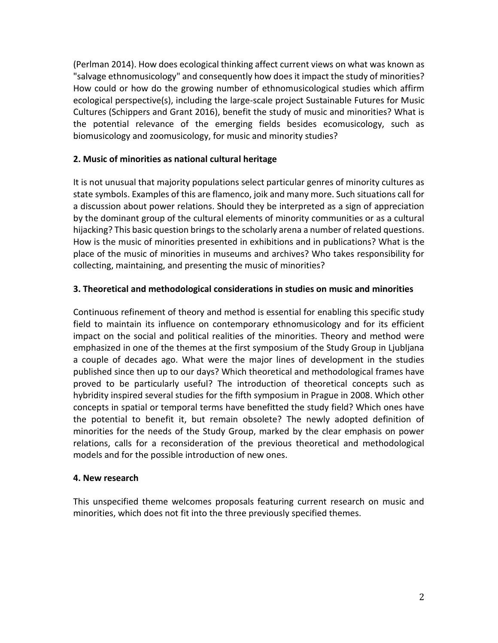(Perlman 2014). How does ecological thinking affect current views on what was known as "salvage ethnomusicology" and consequently how does it impact the study of minorities? How could or how do the growing number of ethnomusicological studies which affirm ecological perspective(s), including the large-scale project Sustainable Futures for Music Cultures (Schippers and Grant 2016), benefit the study of music and minorities? What is the potential relevance of the emerging fields besides ecomusicology, such as biomusicology and zoomusicology, for music and minority studies?

## **2. Music of minorities as national cultural heritage**

It is not unusual that majority populations select particular genres of minority cultures as state symbols. Examples of this are flamenco, joik and many more. Such situations call for a discussion about power relations. Should they be interpreted as a sign of appreciation by the dominant group of the cultural elements of minority communities or as a cultural hijacking? This basic question brings to the scholarly arena a number of related questions. How is the music of minorities presented in exhibitions and in publications? What is the place of the music of minorities in museums and archives? Who takes responsibility for collecting, maintaining, and presenting the music of minorities?

## **3. Theoretical and methodological considerations in studies on music and minorities**

Continuous refinement of theory and method is essential for enabling this specific study field to maintain its influence on contemporary ethnomusicology and for its efficient impact on the social and political realities of the minorities. Theory and method were emphasized in one of the themes at the first symposium of the Study Group in Ljubljana a couple of decades ago. What were the major lines of development in the studies published since then up to our days? Which theoretical and methodological frames have proved to be particularly useful? The introduction of theoretical concepts such as hybridity inspired several studies for the fifth symposium in Prague in 2008. Which other concepts in spatial or temporal terms have benefitted the study field? Which ones have the potential to benefit it, but remain obsolete? The newly adopted definition of minorities for the needs of the Study Group, marked by the clear emphasis on power relations, calls for a reconsideration of the previous theoretical and methodological models and for the possible introduction of new ones.

#### **4. New research**

This unspecified theme welcomes proposals featuring current research on music and minorities, which does not fit into the three previously specified themes.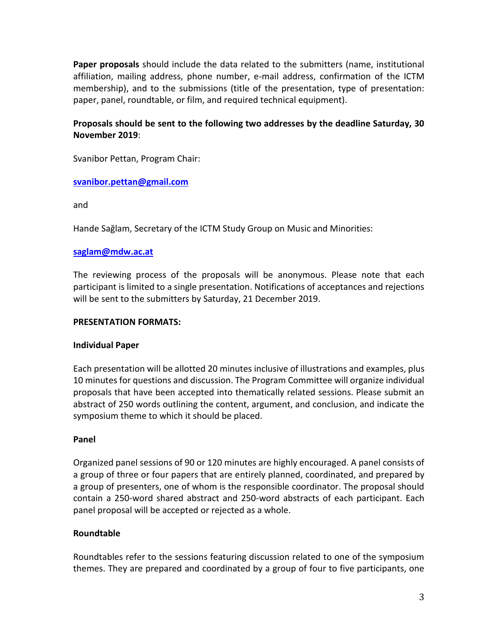**Paper proposals** should include the data related to the submitters (name, institutional affiliation, mailing address, phone number, e-mail address, confirmation of the ICTM membership), and to the submissions (title of the presentation, type of presentation: paper, panel, roundtable, or film, and required technical equipment).

### **Proposals should be sent to the following two addresses by the deadline Saturday, 30 November 2019**:

Svanibor Pettan, Program Chair:

#### **[svanibor.pettan@gmail.com](mailto:svanibor.pettan@gmail.com)**

and

Hande Sağlam, Secretary of the ICTM Study Group on Music and Minorities:

#### **[saglam@mdw.ac.at](mailto:saglam@mdw.ac.at)**

The reviewing process of the proposals will be anonymous. Please note that each participant is limited to a single presentation. Notifications of acceptances and rejections will be sent to the submitters by Saturday, 21 December 2019.

#### **PRESENTATION FORMATS:**

#### **Individual Paper**

Each presentation will be allotted 20 minutes inclusive of illustrations and examples, plus 10 minutes for questions and discussion. The Program Committee will organize individual proposals that have been accepted into thematically related sessions. Please submit an abstract of 250 words outlining the content, argument, and conclusion, and indicate the symposium theme to which it should be placed.

#### **Panel**

Organized panel sessions of 90 or 120 minutes are highly encouraged. A panel consists of a group of three or four papers that are entirely planned, coordinated, and prepared by a group of presenters, one of whom is the responsible coordinator. The proposal should contain a 250-word shared abstract and 250-word abstracts of each participant. Each panel proposal will be accepted or rejected as a whole.

#### **Roundtable**

Roundtables refer to the sessions featuring discussion related to one of the symposium themes. They are prepared and coordinated by a group of four to five participants, one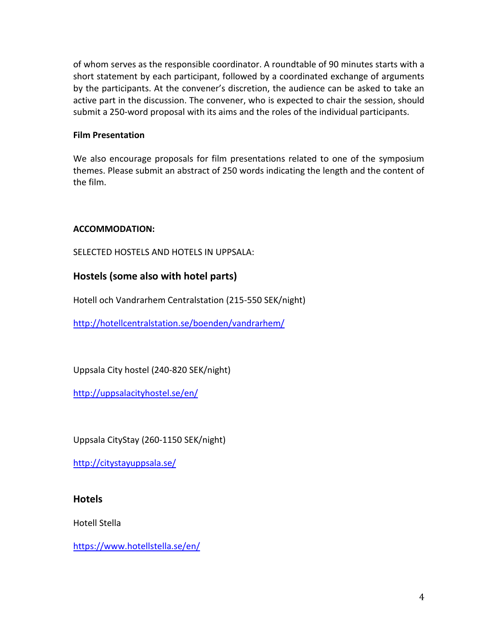of whom serves as the responsible coordinator. A roundtable of 90 minutes starts with a short statement by each participant, followed by a coordinated exchange of arguments by the participants. At the convener's discretion, the audience can be asked to take an active part in the discussion. The convener, who is expected to chair the session, should submit a 250-word proposal with its aims and the roles of the individual participants.

#### **Film Presentation**

We also encourage proposals for film presentations related to one of the symposium themes. Please submit an abstract of 250 words indicating the length and the content of the film.

#### **ACCOMMODATION:**

SELECTED HOSTELS AND HOTELS IN UPPSALA:

# **Hostels (some also with hotel parts)**

Hotell och Vandrarhem Centralstation (215-550 SEK/night)

<http://hotellcentralstation.se/boenden/vandrarhem/>

Uppsala City hostel (240-820 SEK/night)

<http://uppsalacityhostel.se/en/>

Uppsala CityStay (260-1150 SEK/night)

<http://citystayuppsala.se/>

## **Hotels**

Hotell Stella

<https://www.hotellstella.se/en/>